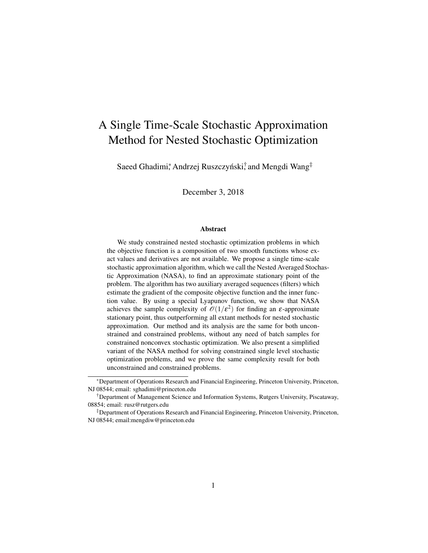# A Single Time-Scale Stochastic Approximation Method for Nested Stochastic Optimization

Saeed Ghadimi\*, Andrzej Ruszczyński, ⊤and Mengdi Wang‡

December 3, 2018

#### Abstract

We study constrained nested stochastic optimization problems in which the objective function is a composition of two smooth functions whose exact values and derivatives are not available. We propose a single time-scale stochastic approximation algorithm, which we call the Nested Averaged Stochastic Approximation (NASA), to find an approximate stationary point of the problem. The algorithm has two auxiliary averaged sequences (filters) which estimate the gradient of the composite objective function and the inner function value. By using a special Lyapunov function, we show that NASA achieves the sample complexity of  $\mathcal{O}(1/\varepsilon^2)$  for finding an  $\varepsilon$ -approximate stationary point, thus outperforming all extant methods for nested stochastic approximation. Our method and its analysis are the same for both unconstrained and constrained problems, without any need of batch samples for constrained nonconvex stochastic optimization. We also present a simplified variant of the NASA method for solving constrained single level stochastic optimization problems, and we prove the same complexity result for both unconstrained and constrained problems.

<sup>∗</sup>Department of Operations Research and Financial Engineering, Princeton University, Princeton, NJ 08544; email: sghadimi@princeton.edu

<sup>†</sup>Department of Management Science and Information Systems, Rutgers University, Piscataway, 08854; email: rusz@rutgers.edu

<sup>‡</sup>Department of Operations Research and Financial Engineering, Princeton University, Princeton, NJ 08544; email:mengdiw@princeton.edu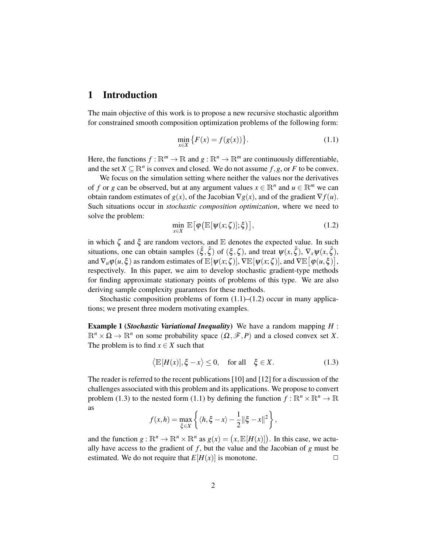## 1 Introduction

The main objective of this work is to propose a new recursive stochastic algorithm for constrained smooth composition optimization problems of the following form:

$$
\min_{x \in X} \{ F(x) = f(g(x)) \}.
$$
\n(1.1)

Here, the functions  $f : \mathbb{R}^m \to \mathbb{R}$  and  $g : \mathbb{R}^n \to \mathbb{R}^m$  are continuously differentiable, and the set  $X \subseteq \mathbb{R}^n$  is convex and closed. We do not assume  $f, g$ , or F to be convex.

We focus on the simulation setting where neither the values nor the derivatives of *f* or *g* can be observed, but at any argument values  $x \in \mathbb{R}^n$  and  $u \in \mathbb{R}^m$  we can obtain random estimates of  $g(x)$ , of the Jacobian  $\nabla g(x)$ , and of the gradient  $\nabla f(u)$ . Such situations occur in *stochastic composition optimization*, where we need to solve the problem:

$$
\min_{x \in X} \mathbb{E} \big[ \varphi \big( \mathbb{E} [\psi(x; \zeta)]; \xi \big) \big], \tag{1.2}
$$

in which  $\zeta$  and  $\xi$  are random vectors, and  $E$  denotes the expected value. In such situations, one can obtain samples  $(\xi, \xi)$  of  $(\xi, \zeta)$ , and treat  $\psi(x, \xi)$ ,  $\nabla_x \psi(x, \xi)$ , and  $\nabla_u \varphi(u, \xi)$  as random estimates of  $\mathbb{E}[\psi(x; \zeta)], \nabla \mathbb{E}[\psi(x; \zeta)],$  and  $\nabla \mathbb{E}[\varphi(u, \xi)],$ respectively. In this paper, we aim to develop stochastic gradient-type methods for finding approximate stationary points of problems of this type. We are also deriving sample complexity guarantees for these methods.

Stochastic composition problems of form  $(1.1)$ – $(1.2)$  occur in many applications; we present three modern motivating examples.

Example 1 (*Stochastic Variational Inequality*) We have a random mapping *H* :  $\mathbb{R}^n \times \Omega \to \mathbb{R}^n$  on some probability space  $(\Omega, \mathscr{F}, P)$  and a closed convex set X. The problem is to find  $x \in X$  such that

$$
\langle \mathbb{E}[H(x)], \xi - x \rangle \le 0, \quad \text{for all} \quad \xi \in X. \tag{1.3}
$$

The reader is referred to the recent publications [10] and [12] for a discussion of the challenges associated with this problem and its applications. We propose to convert problem (1.3) to the nested form (1.1) by defining the function  $f : \mathbb{R}^n \times \mathbb{R}^n \to \mathbb{R}$ as

$$
f(x,h) = \max_{\xi \in X} \left\{ \langle h, \xi - x \rangle - \frac{1}{2} ||\xi - x||^2 \right\},\
$$

and the function  $g: \mathbb{R}^n \to \mathbb{R}^n \times \mathbb{R}^n$  as  $g(x) = (x, \mathbb{E}[H(x)])$ . In this case, we actually have access to the gradient of  $f$ , but the value and the Jacobian of  $g$  must be estimated. We do not require that  $E[H(x)]$  is monotone.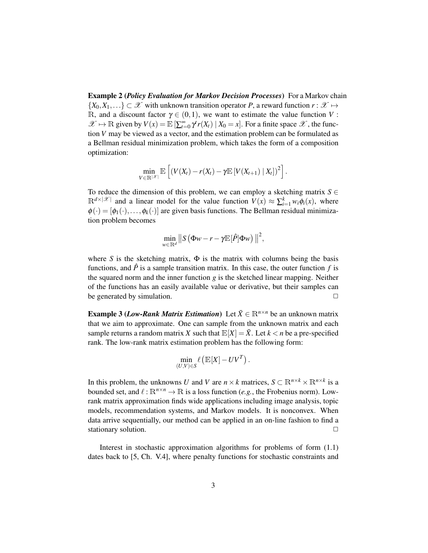Example 2 (*Policy Evaluation for Markov Decision Processes*) For a Markov chain  $\{X_0, X_1, \ldots\} \subset \mathcal{X}$  with unknown transition operator *P*, a reward function  $r : \mathcal{X} \mapsto$ R, and a discount factor  $\gamma \in (0,1)$ , we want to estimate the value function V:  $\mathscr{X} \mapsto \mathbb{R}$  given by  $V(x) = \mathbb{E} \left[ \sum_{t=0}^{\infty} \gamma^t r(X_t) \mid X_0 = x \right]$ . For a finite space  $\mathscr{X}$ , the function *V* may be viewed as a vector, and the estimation problem can be formulated as a Bellman residual minimization problem, which takes the form of a composition optimization:

$$
\min_{V\in\mathbb{R}^{|\mathscr{X}|}}\mathbb{E}\left[\left(V(X_t)-r(X_t)-\gamma \mathbb{E}\left[V(X_{t+1})\mid X_t\right]\right)^2\right].
$$

To reduce the dimension of this problem, we can employ a sketching matrix  $S \in$  $\mathbb{R}^{d \times |\mathcal{X}|}$  and a linear model for the value function  $V(x) \approx \sum_{i=1}^{k} w_i \phi_i(x)$ , where  $\phi(\cdot) = [\phi_1(\cdot), \dots, \phi_k(\cdot)]$  are given basis functions. The Bellman residual minimization problem becomes

$$
\min_{w\in\mathbb{R}^d}\big\|S\left(\Phi w-r-\gamma\mathbb{E}[\hat{P}]\Phi w\right)\big\|^2,
$$

where *S* is the sketching matrix,  $\Phi$  is the matrix with columns being the basis functions, and  $\hat{P}$  is a sample transition matrix. In this case, the outer function  $f$  is the squared norm and the inner function *g* is the sketched linear mapping. Neither of the functions has an easily available value or derivative, but their samples can be generated by simulation.  $\Box$ 

**Example 3 (***Low-Rank Matrix Estimation***)** Let  $\bar{X} \in \mathbb{R}^{n \times n}$  be an unknown matrix that we aim to approximate. One can sample from the unknown matrix and each sample returns a random matrix X such that  $\mathbb{E}[X] = \overline{X}$ . Let  $k < n$  be a pre-specified rank. The low-rank matrix estimation problem has the following form:

$$
\min_{(U,V)\in S}\ell\left(\mathbb{E}[X] - UV^T\right).
$$

In this problem, the unknowns *U* and *V* are  $n \times k$  matrices,  $S \subset \mathbb{R}^{n \times k} \times \mathbb{R}^{n \times k}$  is a bounded set, and  $\ell : \mathbb{R}^{n \times n} \to \mathbb{R}$  is a loss function (*e.g.*, the Frobenius norm). Lowrank matrix approximation finds wide applications including image analysis, topic models, recommendation systems, and Markov models. It is nonconvex. When data arrive sequentially, our method can be applied in an on-line fashion to find a stationary solution.

Interest in stochastic approximation algorithms for problems of form (1.1) dates back to [5, Ch. V.4], where penalty functions for stochastic constraints and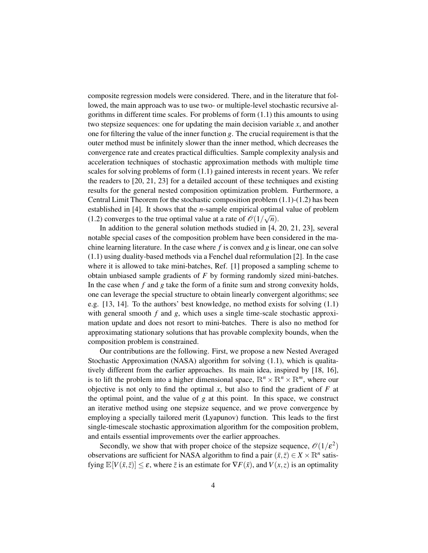composite regression models were considered. There, and in the literature that followed, the main approach was to use two- or multiple-level stochastic recursive algorithms in different time scales. For problems of form (1.1) this amounts to using two stepsize sequences: one for updating the main decision variable *x*, and another one for filtering the value of the inner function *g*. The crucial requirement is that the outer method must be infinitely slower than the inner method, which decreases the convergence rate and creates practical difficulties. Sample complexity analysis and acceleration techniques of stochastic approximation methods with multiple time scales for solving problems of form (1.1) gained interests in recent years. We refer the readers to [20, 21, 23] for a detailed account of these techniques and existing results for the general nested composition optimization problem. Furthermore, a Central Limit Theorem for the stochastic composition problem (1.1)-(1.2) has been established in [4]. It shows that the *n*-sample empirical optimal value of problem  $(1, 2)$ (1.2) converges to the true optimal value at a rate of  $\mathcal{O}(1/\sqrt{n})$ .

In addition to the general solution methods studied in [4, 20, 21, 23], several notable special cases of the composition problem have been considered in the machine learning literature. In the case where *f* is convex and *g* is linear, one can solve (1.1) using duality-based methods via a Fenchel dual reformulation [2]. In the case where it is allowed to take mini-batches, Ref. [1] proposed a sampling scheme to obtain unbiased sample gradients of *F* by forming randomly sized mini-batches. In the case when *f* and *g* take the form of a finite sum and strong convexity holds, one can leverage the special structure to obtain linearly convergent algorithms; see e.g. [13, 14]. To the authors' best knowledge, no method exists for solving (1.1) with general smooth *f* and *g*, which uses a single time-scale stochastic approximation update and does not resort to mini-batches. There is also no method for approximating stationary solutions that has provable complexity bounds, when the composition problem is constrained.

Our contributions are the following. First, we propose a new Nested Averaged Stochastic Approximation (NASA) algorithm for solving (1.1), which is qualitatively different from the earlier approaches. Its main idea, inspired by [18, 16], is to lift the problem into a higher dimensional space,  $\mathbb{R}^n \times \mathbb{R}^n \times \mathbb{R}^m$ , where our objective is not only to find the optimal  $x$ , but also to find the gradient of  $F$  at the optimal point, and the value of *g* at this point. In this space, we construct an iterative method using one stepsize sequence, and we prove convergence by employing a specially tailored merit (Lyapunov) function. This leads to the first single-timescale stochastic approximation algorithm for the composition problem, and entails essential improvements over the earlier approaches.

Secondly, we show that with proper choice of the stepsize sequence,  $\mathcal{O}(1/\varepsilon^2)$ observations are sufficient for NASA algorithm to find a pair  $(\bar{x}, \bar{z}) \in X \times \mathbb{R}^n$  satisfying  $\mathbb{E}[V(\bar{x}, \bar{z})] \leq \varepsilon$ , where  $\bar{z}$  is an estimate for  $\nabla F(\bar{x})$ , and  $V(x, z)$  is an optimality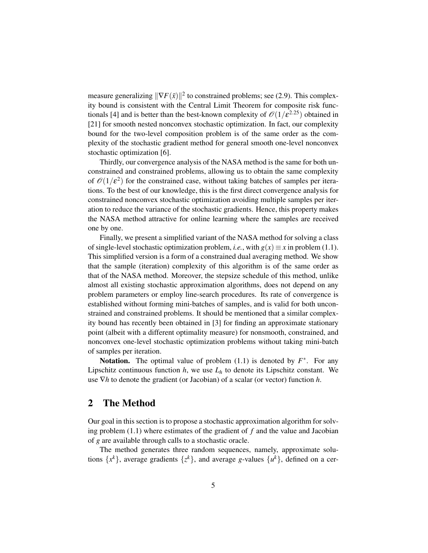measure generalizing  $\|\nabla F(\bar{x})\|^2$  to constrained problems; see (2.9). This complexity bound is consistent with the Central Limit Theorem for composite risk functionals [4] and is better than the best-known complexity of  $\mathcal{O}(1/\varepsilon^{2.25})$  obtained in [21] for smooth nested nonconvex stochastic optimization. In fact, our complexity bound for the two-level composition problem is of the same order as the complexity of the stochastic gradient method for general smooth one-level nonconvex stochastic optimization [6].

Thirdly, our convergence analysis of the NASA method is the same for both unconstrained and constrained problems, allowing us to obtain the same complexity of  $\mathcal{O}(1/\varepsilon^2)$  for the constrained case, without taking batches of samples per iterations. To the best of our knowledge, this is the first direct convergence analysis for constrained nonconvex stochastic optimization avoiding multiple samples per iteration to reduce the variance of the stochastic gradients. Hence, this property makes the NASA method attractive for online learning where the samples are received one by one.

Finally, we present a simplified variant of the NASA method for solving a class of single-level stochastic optimization problem, *i.e.*, with  $g(x) \equiv x$  in problem (1.1). This simplified version is a form of a constrained dual averaging method. We show that the sample (iteration) complexity of this algorithm is of the same order as that of the NASA method. Moreover, the stepsize schedule of this method, unlike almost all existing stochastic approximation algorithms, does not depend on any problem parameters or employ line-search procedures. Its rate of convergence is established without forming mini-batches of samples, and is valid for both unconstrained and constrained problems. It should be mentioned that a similar complexity bound has recently been obtained in [3] for finding an approximate stationary point (albeit with a different optimality measure) for nonsmooth, constrained, and nonconvex one-level stochastic optimization problems without taking mini-batch of samples per iteration.

**Notation.** The optimal value of problem  $(1.1)$  is denoted by  $F^*$ . For any Lipschitz continuous function  $h$ , we use  $L_h$  to denote its Lipschitz constant. We use ∇*h* to denote the gradient (or Jacobian) of a scalar (or vector) function *h*.

# 2 The Method

Our goal in this section is to propose a stochastic approximation algorithm for solving problem (1.1) where estimates of the gradient of *f* and the value and Jacobian of *g* are available through calls to a stochastic oracle.

The method generates three random sequences, namely, approximate solutions  $\{x^k\}$ , average gradients  $\{z^k\}$ , and average g-values  $\{u^k\}$ , defined on a cer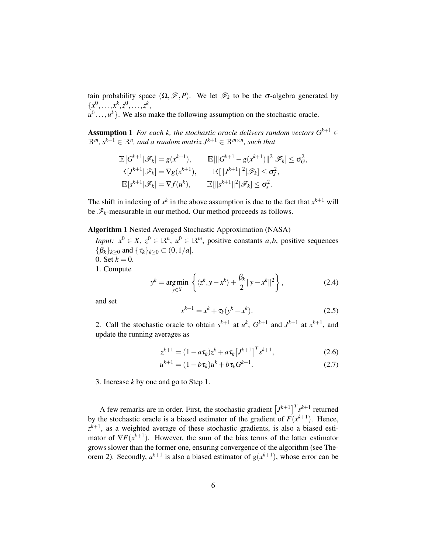tain probability space  $(\Omega, \mathscr{F}, P)$ . We let  $\mathscr{F}_k$  to be the  $\sigma$ -algebra generated by  ${x^0, \ldots, x^k, z^0, \ldots, z^k,$ 

 $u^0$ ...,  $u^k$ }. We also make the following assumption on the stochastic oracle.

**Assumption 1** *For each k, the stochastic oracle delivers random vectors*  $G^{k+1}$  ∈  $\mathbb{R}^m$ *, s*<sup>k+1</sup>  $\in \mathbb{R}^n$ *, and a random matrix*  $J^{k+1} \in \mathbb{R}^{m \times n}$ *, such that* 

$$
\mathbb{E}[G^{k+1}|\mathscr{F}_k] = g(x^{k+1}), \qquad \mathbb{E}[\|G^{k+1} - g(x^{k+1})\|^2|\mathscr{F}_k] \leq \sigma_G^2,
$$
  
\n
$$
\mathbb{E}[J^{k+1}|\mathscr{F}_k] = \nabla g(x^{k+1}), \qquad \mathbb{E}[\|J^{k+1}\|^2|\mathscr{F}_k] \leq \sigma_J^2,
$$
  
\n
$$
\mathbb{E}[s^{k+1}|\mathscr{F}_k] = \nabla f(u^k), \qquad \mathbb{E}[\|s^{k+1}\|^2|\mathscr{F}_k] \leq \sigma_s^2.
$$

The shift in indexing of  $x^k$  in the above assumption is due to the fact that  $x^{k+1}$  will be  $\mathscr{F}_k$ -measurable in our method. Our method proceeds as follows.

#### Algorithm 1 Nested Averaged Stochastic Approximation (NASA)

*Input:*  $x^0 \in X$ ,  $z^0 \in \mathbb{R}^n$ ,  $u^0 \in \mathbb{R}^m$ , positive constants *a*,*b*, positive sequences  $\{\beta_k\}_{k>0}$  and  $\{\tau_k\}_{k>0} \subset (0,1/a]$ . 0. Set  $k = 0$ . 1. Compute

$$
y^{k} = \underset{y \in X}{\arg \min} \left\{ \langle z^{k}, y - x^{k} \rangle + \frac{\beta_{k}}{2} ||y - x^{k}||^{2} \right\},\tag{2.4}
$$

and set

$$
x^{k+1} = x^k + \tau_k (y^k - x^k). \tag{2.5}
$$

2. Call the stochastic oracle to obtain  $s^{k+1}$  at  $u^k$ ,  $G^{k+1}$  and  $J^{k+1}$  at  $x^{k+1}$ , and update the running averages as

$$
z^{k+1} = (1 - a\tau_k)z^k + a\tau_k \left[J^{k+1}\right]^T s^{k+1},\tag{2.6}
$$

$$
u^{k+1} = (1 - b\tau_k)u^k + b\tau_k G^{k+1}.
$$
\n(2.7)

3. Increase *k* by one and go to Step 1.

A few remarks are in order. First, the stochastic gradient  $[J^{k+1}]^T s^{k+1}$  returned by the stochastic oracle is a biased estimator of the gradient of  $F(x^{k+1})$ . Hence,  $z^{k+1}$ , as a weighted average of these stochastic gradients, is also a biased estimator of  $\nabla F(x^{k+1})$ . However, the sum of the bias terms of the latter estimator grows slower than the former one, ensuring convergence of the algorithm (see Theorem 2). Secondly,  $u^{k+1}$  is also a biased estimator of  $g(x^{k+1})$ , whose error can be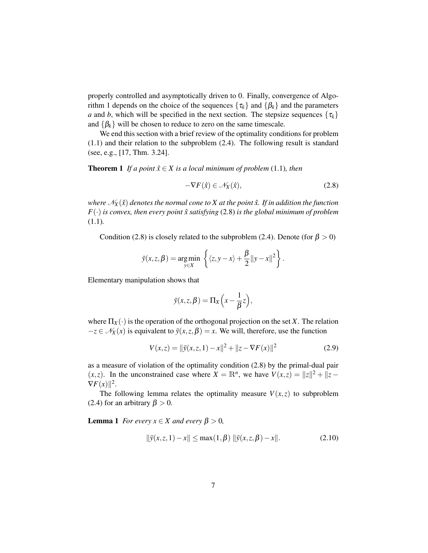properly controlled and asymptotically driven to 0. Finally, convergence of Algorithm 1 depends on the choice of the sequences  $\{\tau_k\}$  and  $\{\beta_k\}$  and the parameters *a* and *b*, which will be specified in the next section. The stepsize sequences  $\{\tau_k\}$ and  $\{\beta_k\}$  will be chosen to reduce to zero on the same timescale.

We end this section with a brief review of the optimality conditions for problem (1.1) and their relation to the subproblem (2.4). The following result is standard (see, e.g., [17, Thm. 3.24].

**Theorem 1** *If a point*  $\hat{x} \in X$  *is a local minimum of problem* (1.1)*, then* 

$$
-\nabla F(\hat{x}) \in \mathcal{N}_X(\hat{x}),\tag{2.8}
$$

*where*  $\mathcal{N}_X(\hat{x})$  *denotes the normal cone to X at the point*  $\hat{x}$ *. If in addition the function*  $F(\cdot)$  *is convex, then every point*  $\hat{x}$  *satisfying* (2.8) *is the global minimum of problem* (1.1)*.*

Condition (2.8) is closely related to the subproblem (2.4). Denote (for  $\beta > 0$ )

$$
\bar{y}(x, z, \beta) = \underset{y \in X}{\arg \min} \left\{ \langle z, y - x \rangle + \frac{\beta}{2} ||y - x||^2 \right\}.
$$

Elementary manipulation shows that

$$
\bar{y}(x, z, \beta) = \Pi_X\left(x - \frac{1}{\beta}z\right),\,
$$

where  $\Pi_X(\cdot)$  is the operation of the orthogonal projection on the set *X*. The relation  $-z \in \mathcal{N}_X(x)$  is equivalent to  $\bar{y}(x, z, \beta) = x$ . We will, therefore, use the function

$$
V(x,z) = ||\bar{y}(x,z,1) - x||^2 + ||z - \nabla F(x)||^2
$$
\n(2.9)

as a measure of violation of the optimality condition (2.8) by the primal-dual pair (*x*,*z*). In the unconstrained case where  $X = \mathbb{R}^n$ , we have  $V(x, z) = ||z||^2 + ||z - z||^2$  $\nabla F(x)$ ||<sup>2</sup>.

The following lemma relates the optimality measure  $V(x, z)$  to subproblem (2.4) for an arbitrary  $\beta > 0$ .

**Lemma 1** *For every*  $x \in X$  *and every*  $\beta > 0$ *,* 

$$
\|\bar{y}(x, z, 1) - x\| \le \max(1, \beta) \|\bar{y}(x, z, \beta) - x\|.
$$
 (2.10)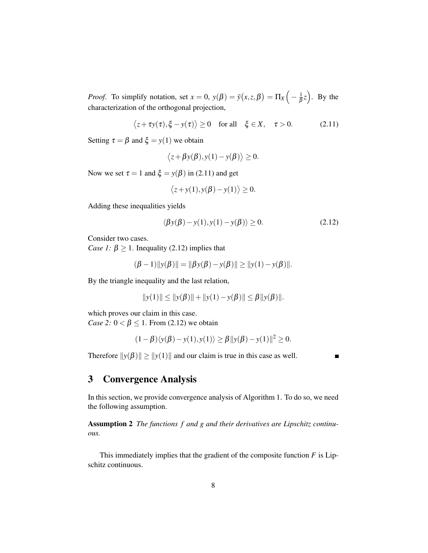*Proof.* To simplify notation, set  $x = 0$ ,  $y(\beta) = \bar{y}(x, z, \beta) = \prod_{X} \left( -\frac{1}{\beta} \right)$  $(\frac{1}{\beta}z)$ . By the characterization of the orthogonal projection,

$$
\langle z + \tau y(\tau), \xi - y(\tau) \rangle \ge 0 \quad \text{for all} \quad \xi \in X, \quad \tau > 0. \tag{2.11}
$$

Setting  $\tau = \beta$  and  $\xi = y(1)$  we obtain

$$
\langle z + \beta y(\beta), y(1) - y(\beta) \rangle \ge 0.
$$

Now we set  $\tau = 1$  and  $\xi = y(\beta)$  in (2.11) and get

$$
\langle z+y(1), y(\beta)-y(1)\rangle \ge 0.
$$

Adding these inequalities yields

$$
\langle \beta y(\beta) - y(1), y(1) - y(\beta) \rangle \ge 0. \tag{2.12}
$$

Consider two cases.

*Case 1:*  $\beta \ge 1$ . Inequality (2.12) implies that

$$
(\beta - 1) \|y(\beta)\| = \|\beta y(\beta) - y(\beta)\| \ge \|y(1) - y(\beta)\|.
$$

By the triangle inequality and the last relation,

$$
||y(1)|| \le ||y(\beta)|| + ||y(1) - y(\beta)|| \le \beta ||y(\beta)||.
$$

which proves our claim in this case. *Case 2:*  $0 < \beta \le 1$ . From (2.12) we obtain

$$
(1-\beta)\langle y(\beta)-y(1),y(1)\rangle \ge \beta ||y(\beta)-y(1)||^2 \ge 0.
$$

Therefore  $||y(\beta)|| \ge ||y(1)||$  and our claim is true in this case as well.

## 3 Convergence Analysis

In this section, we provide convergence analysis of Algorithm 1. To do so, we need the following assumption.

Assumption 2 *The functions f and g and their derivatives are Lipschitz continuous.*

This immediately implies that the gradient of the composite function *F* is Lipschitz continuous.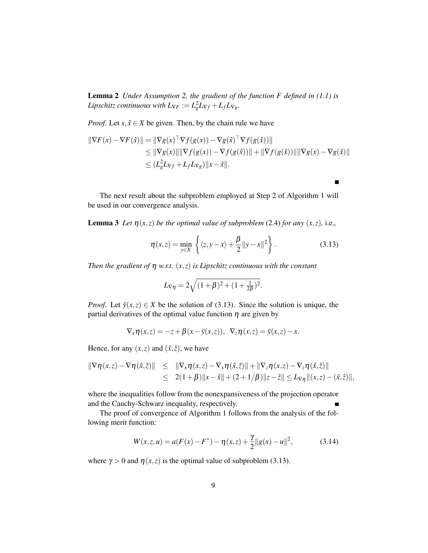Lemma 2 *Under Assumption 2, the gradient of the function F defined in (1.1) is Lipschitz continuous with*  $L_{\nabla F} := L_g^2 L_{\nabla f} + L_f L_{\nabla g}$ *.* 

*Proof.* Let  $x, \hat{x} \in X$  be given. Then, by the chain rule we have

$$
\begin{aligned} \|\nabla F(x) - \nabla F(\hat{x})\| &= \|\nabla g(x)^\top \nabla f(g(x)) - \nabla g(\hat{x})^\top \nabla f(g(\hat{x}))\| \\ &\leq \|\nabla g(x)\| \|\nabla f(g(x)) - \nabla f(g(\hat{x}))\| + \|\nabla f(g(\hat{x}))\| \|\nabla g(x) - \nabla g(\hat{x})\| \\ &\leq (L_g^2 L_{\nabla f} + L_f L_{\nabla g}) \|x - \hat{x}\|. \end{aligned}
$$

The next result about the subproblem employed at Step 2 of Algorithm 1 will be used in our convergence analysis.

**Lemma 3** *Let*  $\eta(x, z)$  *be the optimal value of subproblem* (2.4) *for any*  $(x, z)$ *, i.e.,* 

$$
\eta(x,z) = \min_{y \in X} \left\{ \langle z, y - x \rangle + \frac{\beta}{2} ||y - x||^2 \right\}.
$$
 (3.13)

 $\blacksquare$ 

*Then the gradient of* η *w.r.t.* (*x*,*z*) *is Lipschitz continuous with the constant*

$$
L_{\nabla \eta} = 2\sqrt{(1+\beta)^2 + (1+\frac{1}{2\beta})^2}.
$$

*Proof.* Let  $\bar{y}(x, z) \in X$  be the solution of (3.13). Since the solution is unique, the partial derivatives of the optimal value function  $\eta$  are given by

$$
\nabla_x \eta(x, z) = -z + \beta(x - \overline{y}(x, z)), \ \nabla_z \eta(x, z) = \overline{y}(x, z) - x.
$$

Hence, for any  $(x, z)$  and  $(\hat{x}, \hat{z})$ , we have

$$
\begin{array}{rcl}\n\|\nabla \eta(x,z) - \nabla \eta(\hat{x},\hat{z})\| & \leq & \|\nabla_x \eta(x,z) - \nabla_x \eta(\hat{x},\hat{z})\| + \|\nabla_z \eta(x,z) - \nabla_z \eta(\hat{x},\hat{z})\| \\
& \leq & 2(1+\beta) \|x-\hat{x}\| + (2+1/\beta) \|z-\hat{z}\| \leq L_{\nabla \eta} \|(x,z) - (\hat{x},\hat{z})\|,\n\end{array}
$$

where the inequalities follow from the nonexpansiveness of the projection operator and the Cauchy-Schwarz inequality, respectively.

The proof of convergence of Algorithm 1 follows from the analysis of the following merit function:

$$
W(x, z, u) = a(F(x) - F^*) - \eta(x, z) + \frac{\gamma}{2} ||g(x) - u||^2,
$$
 (3.14)

where  $\gamma > 0$  and  $\eta(x, z)$  is the optimal value of subproblem (3.13).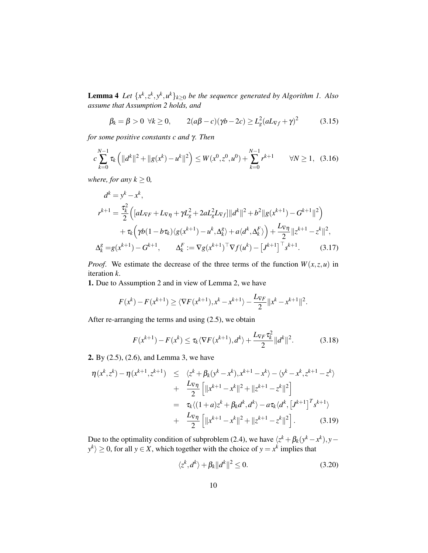**Lemma 4** Let  $\{x^k, z^k, y^k, u^k\}_{k \geq 0}$  be the sequence generated by Algorithm 1. Also *assume that Assumption 2 holds, and*

$$
\beta_k = \beta > 0 \quad \forall k \ge 0, \qquad 2(a\beta - c)(\gamma b - 2c) \ge L_g^2 (aL_{\nabla f} + \gamma)^2 \tag{3.15}
$$

*for some positive constants c and* γ*. Then*

$$
c\sum_{k=0}^{N-1} \tau_k \left( \|d^k\|^2 + \|g(x^k) - u^k\|^2 \right) \le W(x^0, z^0, u^0) + \sum_{k=0}^{N-1} r^{k+1} \qquad \forall N \ge 1, \tag{3.16}
$$

*where, for any*  $k \geq 0$ *,* 

$$
d^{k} = y^{k} - x^{k},
$$
  
\n
$$
r^{k+1} = \frac{\tau_{k}^{2}}{2} \Big( [aL_{\nabla F} + L_{\nabla \eta} + \gamma L_{g}^{2} + 2aL_{g}^{2}L_{\nabla f}] ||d^{k}||^{2} + b^{2} ||g(x^{k+1}) - G^{k+1}||^{2} \Big) \n+ \tau_{k} \Big( \gamma b(1 - b\tau_{k}) \langle g(x^{k+1}) - u^{k}, \Delta_{k}^{g} \rangle + a \langle d^{k}, \Delta_{k}^{F} \rangle \Big) + \frac{L_{\nabla \eta}}{2} ||z^{k+1} - z^{k}||^{2},
$$
  
\n
$$
\Delta_{k}^{g} = g(x^{k+1}) - G^{k+1}, \qquad \Delta_{k}^{F} := \nabla g(x^{k+1})^{\top} \nabla f(u^{k}) - [J^{k+1}]^{\top} s^{k+1}. \tag{3.17}
$$

*Proof.* We estimate the decrease of the three terms of the function  $W(x, z, u)$  in iteration *k*.

1. Due to Assumption 2 and in view of Lemma 2, we have

$$
F(x^{k}) - F(x^{k+1}) \ge \langle \nabla F(x^{k+1}), x^{k} - x^{k+1} \rangle - \frac{L_{\nabla F}}{2} ||x^{k} - x^{k+1}||^{2}.
$$

After re-arranging the terms and using (2.5), we obtain

$$
F(x^{k+1}) - F(x^k) \le \tau_k \langle \nabla F(x^{k+1}), d^k \rangle + \frac{L_{\nabla F} \tau_k^2}{2} ||d^k||^2.
$$
 (3.18)

2. By (2.5), (2.6), and Lemma 3, we have

$$
\eta(x^{k}, z^{k}) - \eta(x^{k+1}, z^{k+1}) \leq \langle z^{k} + \beta_{k}(y^{k} - x^{k}), x^{k+1} - x^{k} \rangle - \langle y^{k} - x^{k}, z^{k+1} - z^{k} \rangle
$$
  
+ 
$$
\frac{L_{\nabla \eta}}{2} \left[ ||x^{k+1} - x^{k}||^{2} + ||z^{k+1} - z^{k}||^{2} \right]
$$
  
= 
$$
\tau_{k} \langle (1 + a)z^{k} + \beta_{k}a^{k}, a^{k} \rangle - a\tau_{k} \langle a^{k}, [J^{k+1}]^{T} s^{k+1} \rangle
$$
  
+ 
$$
\frac{L_{\nabla \eta}}{2} \left[ ||x^{k+1} - x^{k}||^{2} + ||z^{k+1} - z^{k}||^{2} \right].
$$
 (3.19)

Due to the optimality condition of subproblem (2.4), we have  $\langle z^k + \beta_k(y^k - x^k), y - k \rangle$  $y^k$  ≥ 0, for all *y* ∈ *X*, which together with the choice of *y* = *x*<sup>*k*</sup> implies that

$$
\langle z^k, d^k \rangle + \beta_k \| d^k \|^2 \le 0. \tag{3.20}
$$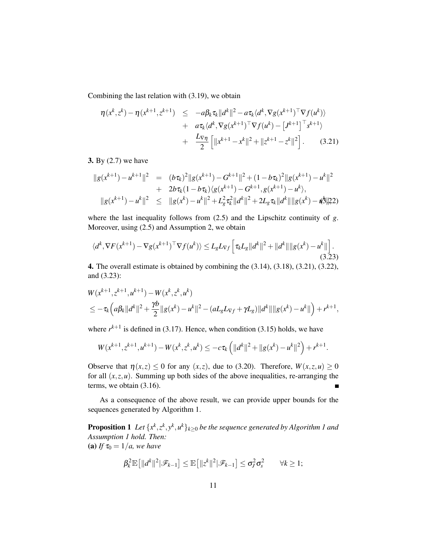Combining the last relation with (3.19), we obtain

$$
\eta(x^{k}, z^{k}) - \eta(x^{k+1}, z^{k+1}) \le -a\beta_{k}\tau_{k}||d^{k}||^{2} - a\tau_{k}\langle d^{k}, \nabla g(x^{k+1})^{\top}\nabla f(u^{k}) \rangle \n+ a\tau_{k}\langle d^{k}, \nabla g(x^{k+1})^{\top}\nabla f(u^{k}) - [J^{k+1}]^{\top} s^{k+1} \rangle \n+ \frac{L_{\nabla \eta}}{2} \left[ ||x^{k+1} - x^{k}||^{2} + ||z^{k+1} - z^{k}||^{2} \right].
$$
\n(3.21)

#### 3. By (2.7) we have

$$
||g(x^{k+1}) - u^{k+1}||^2 = (b\tau_k)^2 ||g(x^{k+1}) - G^{k+1}||^2 + (1 - b\tau_k)^2 ||g(x^{k+1}) - u^k||^2
$$
  
+ 
$$
2b\tau_k(1 - b\tau_k) \langle g(x^{k+1}) - G^{k+1}, g(x^{k+1}) - u^k \rangle,
$$
  

$$
||g(x^{k+1}) - u^k||^2 \le ||g(x^k) - u^k||^2 + L_g^2 \tau_k^2 ||d^k||^2 + 2L_g \tau_k ||d^k|| ||g(x^k) - u^k||^2.
$$

where the last inequality follows from (2.5) and the Lipschitz continuity of *g*. Moreover, using (2.5) and Assumption 2, we obtain

$$
\langle d^k, \nabla F(x^{k+1}) - \nabla g(x^{k+1})^\top \nabla f(u^k) \rangle \le L_g L_{\nabla f} \left[ \tau_k L_g \| d^k \|^2 + \| d^k \| \| g(x^k) - u^k \| \right].
$$
\n(3.23)

4. The overall estimate is obtained by combining the (3.14), (3.18), (3.21), (3.22), and (3.23):

$$
W(x^{k+1}, z^{k+1}, u^{k+1}) - W(x^k, z^k, u^k)
$$
  
\n
$$
\leq -\tau_k \Big( a \beta_k ||d^k||^2 + \frac{\gamma b}{2} ||g(x^k) - u^k||^2 - (aL_g L_{\nabla f} + \gamma L_g) ||d^k|| ||g(x^k) - u^k|| \Big) + r^{k+1},
$$

where  $r^{k+1}$  is defined in (3.17). Hence, when condition (3.15) holds, we have

$$
W(x^{k+1}, z^{k+1}, u^{k+1}) - W(x^k, z^k, u^k) \leq -c\tau_k \left( \|d^k\|^2 + \|g(x^k) - u^k\|^2 \right) + r^{k+1}.
$$

Observe that  $\eta(x, z) \le 0$  for any  $(x, z)$ , due to (3.20). Therefore,  $W(x, z, u) \ge 0$ for all  $(x, z, u)$ . Summing up both sides of the above inequalities, re-arranging the terms, we obtain (3.16). Ē

As a consequence of the above result, we can provide upper bounds for the sequences generated by Algorithm 1.

**Proposition 1** Let  $\{x^k, z^k, y^k, u^k\}_{k \geq 0}$  be the sequence generated by Algorithm 1 and *Assumption 1 hold. Then:* (a) *If*  $\tau_0 = 1/a$ , we have

$$
\beta_k^2 \mathbb{E}\big[\|d^k\|^2|\mathscr{F}_{k-1}\big] \leq \mathbb{E}\big[\|z^k\|^2|\mathscr{F}_{k-1}\big] \leq \sigma_J^2 \sigma_s^2 \qquad \forall k \geq 1;
$$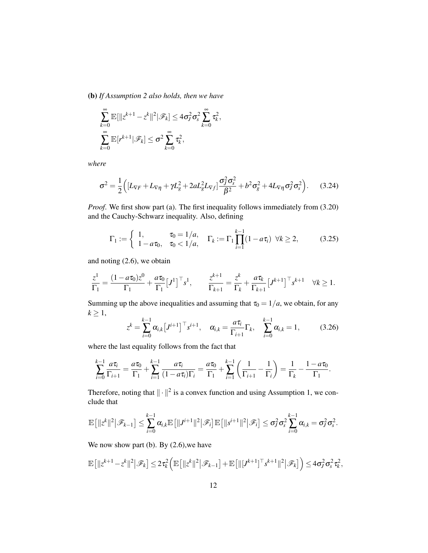(b) *If Assumption 2 also holds, then we have*

$$
\sum_{k=0}^{\infty} \mathbb{E}[\|z^{k+1} - z^k\|^2 | \mathscr{F}_k] \le 4\sigma_J^2 \sigma_s^2 \sum_{k=0}^{\infty} \tau_k^2,
$$
  

$$
\sum_{k=0}^{\infty} \mathbb{E}[r^{k+1} | \mathscr{F}_k] \le \sigma^2 \sum_{k=0}^{\infty} \tau_k^2,
$$

*where*

$$
\sigma^2 = \frac{1}{2} \Big( \left[ L_{\nabla F} + L_{\nabla \eta} + \gamma L_g^2 + 2a L_g^2 L_{\nabla f} \right] \frac{\sigma_f^2 \sigma_s^2}{\beta^2} + b^2 \sigma_g^2 + 4L_{\nabla \eta} \sigma_f^2 \sigma_s^2 \Big). \tag{3.24}
$$

*Proof*. We first show part (a). The first inequality follows immediately from (3.20) and the Cauchy-Schwarz inequality. Also, defining

$$
\Gamma_1 := \begin{cases} 1, & \tau_0 = 1/a, \\ 1 - a\tau_0, & \tau_0 < 1/a, \end{cases} \quad \Gamma_k := \Gamma_1 \prod_{i=1}^{k-1} (1 - a\tau_i) \quad \forall k \ge 2,
$$
 (3.25)

and noting (2.6), we obtain

$$
\frac{z^1}{\Gamma_1} = \frac{(1 - a\tau_0)z^0}{\Gamma_1} + \frac{a\tau_0}{\Gamma_1} [J^1]^\top s^1, \qquad \frac{z^{k+1}}{\Gamma_{k+1}} = \frac{z^k}{\Gamma_k} + \frac{a\tau_k}{\Gamma_{k+1}} [J^{k+1}]^\top s^{k+1} \quad \forall k \ge 1.
$$

Summing up the above inequalities and assuming that  $\tau_0 = 1/a$ , we obtain, for any  $k \geq 1$ ,

$$
z^{k} = \sum_{i=0}^{k-1} \alpha_{i,k} \left[ J^{i+1} \right]^\top s^{i+1}, \quad \alpha_{i,k} = \frac{a \tau_i}{\Gamma_{i+1}} \Gamma_k, \quad \sum_{i=0}^{k-1} \alpha_{i,k} = 1, \quad (3.26)
$$

where the last equality follows from the fact that

$$
\sum_{i=0}^{k-1} \frac{a\tau_i}{\Gamma_{i+1}} = \frac{a\tau_0}{\Gamma_1} + \sum_{i=1}^{k-1} \frac{a\tau_i}{(1-a\tau_i)\Gamma_i} = \frac{a\tau_0}{\Gamma_1} + \sum_{i=1}^{k-1} \left(\frac{1}{\Gamma_{i+1}} - \frac{1}{\Gamma_i}\right) = \frac{1}{\Gamma_k} - \frac{1-a\tau_0}{\Gamma_1}.
$$

Therefore, noting that  $\|\cdot\|^2$  is a convex function and using Assumption 1, we conclude that

$$
\mathbb{E}\big[\|z^k\|^2\big|\mathscr{F}_{k-1}\big]\leq \sum_{i=0}^{k-1}\alpha_{i,k}\mathbb{E}\big[\|J^{i+1}\|^2\big|\mathscr{F}_i\big]\mathbb{E}\big[\|s^{i+1}\|^2\big|\mathscr{F}_i\big]\leq \sigma_J^2\sigma_s^2\sum_{i=0}^{k-1}\alpha_{i,k}=\sigma_J^2\sigma_s^2.
$$

We now show part (b). By  $(2.6)$ , we have

$$
\mathbb{E}\big[\|z^{k+1}-z^k\|^2\big|\mathscr{F}_k\big]\leq 2\tau_k^2\Big(\mathbb{E}\big[\|z^k\|^2\big|\mathscr{F}_{k-1}\big]+\mathbb{E}\big[\|[J^{k+1}]^\top s^{k+1}\|^2\big|\mathscr{F}_k\big]\Big)\leq 4\sigma_J^2\sigma_s^2\tau_k^2,
$$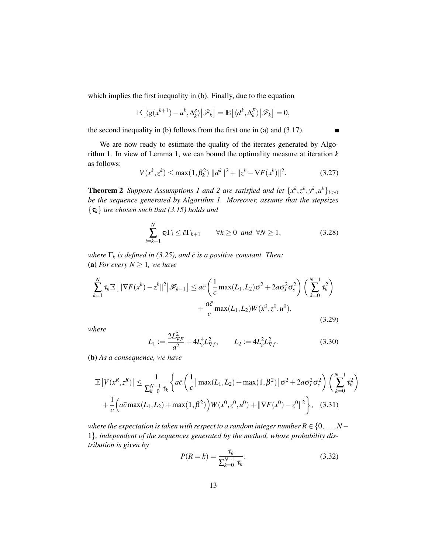which implies the first inequality in (b). Finally, due to the equation

$$
\mathbb{E}\left[\langle g(x^{k+1})-u^k,\Delta_k^g\rangle\big|\mathscr{F}_k\right]=\mathbb{E}\left[\langle d^k,\Delta_k^F\rangle\big|\mathscr{F}_k\right]=0,
$$

the second inequality in (b) follows from the first one in (a) and (3.17).

We are now ready to estimate the quality of the iterates generated by Algorithm 1. In view of Lemma 1, we can bound the optimality measure at iteration *k* as follows:

$$
V(x^{k}, z^{k}) \le \max(1, \beta_{k}^{2}) \, \|d^{k}\|^{2} + \|z^{k} - \nabla F(x^{k})\|^{2}.
$$
 (3.27)

**Theorem 2** Suppose Assumptions 1 and 2 are satisfied and let  $\{x^k, z^k, y^k, u^k\}_{k \geq 0}$ *be the sequence generated by Algorithm 1. Moreover, assume that the stepsizes* {τ*k*} *are chosen such that (3.15) holds and*

$$
\sum_{i=k+1}^{N} \tau_i \Gamma_i \leq \bar{c} \Gamma_{k+1} \qquad \forall k \geq 0 \ \text{and} \ \forall N \geq 1,
$$
 (3.28)

*where*  $\Gamma_k$  *is defined in (3.25), and*  $\bar{c}$  *is a positive constant. Then:* (a) *For every*  $N \geq 1$ *, we have* 

$$
\sum_{k=1}^{N} \tau_{k} \mathbb{E} \left[ \|\nabla F(x^{k}) - z^{k}\|^{2} \, \big| \mathcal{F}_{k-1} \right] \leq a \bar{c} \left( \frac{1}{c} \max(L_{1}, L_{2}) \sigma^{2} + 2a \sigma_{J}^{2} \sigma_{s}^{2} \right) \left( \sum_{k=0}^{N-1} \tau_{k}^{2} \right) + \frac{a \bar{c}}{c} \max(L_{1}, L_{2}) W(x^{0}, z^{0}, u^{0}), \tag{3.29}
$$

*where*

$$
L_1 := \frac{2L_{\nabla F}^2}{a^2} + 4L_g^4 L_{\nabla f}^2, \qquad L_2 := 4L_g^2 L_{\nabla f}^2. \tag{3.30}
$$

(b) *As a consequence, we have*

$$
\mathbb{E}\left[V(x^{R},z^{R})\right] \leq \frac{1}{\sum_{k=0}^{N-1} \tau_{k}} \left\{ a \bar{c} \left( \frac{1}{c} \left[ \max(L_{1},L_{2}) + \max(1,\beta^{2}) \right] \sigma^{2} + 2a \sigma_{J}^{2} \sigma_{s}^{2} \right) \left( \sum_{k=0}^{N-1} \tau_{k}^{2} \right) + \frac{1}{c} \left( a \bar{c} \max(L_{1},L_{2}) + \max(1,\beta^{2}) \right) W(x^{0},z^{0},u^{0}) + ||\nabla F(x^{0}) - z^{0}||^{2} \right\}, \quad (3.31)
$$

*where the expectation is taken with respect to a random integer number*  $R \in \{0, \ldots, N - \}$ 1}*, independent of the sequences generated by the method, whose probability distribution is given by*

$$
P(R = k) = \frac{\tau_k}{\sum_{k=0}^{N-1} \tau_k}.
$$
\n(3.32)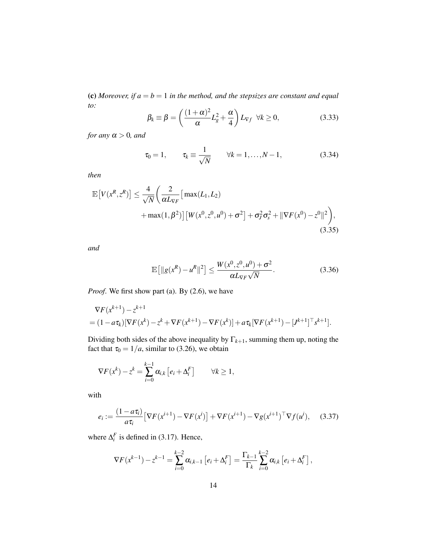(c) *Moreover, if*  $a = b = 1$  *in the method, and the stepsizes are constant and equal to:*

$$
\beta_k \equiv \beta = \left(\frac{(1+\alpha)^2}{\alpha}L_g^2 + \frac{\alpha}{4}\right)L_{\nabla f} \quad \forall k \ge 0,
$$
\n(3.33)

*for any*  $\alpha > 0$ *, and* 

$$
\tau_0 = 1, \qquad \tau_k \equiv \frac{1}{\sqrt{N}} \qquad \forall k = 1, ..., N-1,
$$
\n(3.34)

*then*

$$
\mathbb{E}\left[V(x^R, z^R)\right] \le \frac{4}{\sqrt{N}} \left(\frac{2}{\alpha L_{\nabla F}} \left[\max(L_1, L_2) + \max(1, \beta^2)\right] \left[W(x^0, z^0, u^0) + \sigma^2\right] + \sigma_f^2 \sigma_s^2 + \|\nabla F(x^0) - z^0\|^2\right),\tag{3.35}
$$

*and*

$$
\mathbb{E}\left[\|g(x^R) - u^R\|^2\right] \le \frac{W(x^0, z^0, u^0) + \sigma^2}{\alpha L_{\nabla F}\sqrt{N}}.\tag{3.36}
$$

*Proof*. We first show part (a). By (2.6), we have

$$
\nabla F(x^{k+1}) - z^{k+1}
$$
  
=  $(1 - a\tau_k)[\nabla F(x^k) - z^k + \nabla F(x^{k+1}) - \nabla F(x^k)] + a\tau_k[\nabla F(x^{k+1}) - [J^{k+1}]^\top s^{k+1}].$ 

Dividing both sides of the above inequality by  $\Gamma_{k+1}$ , summing them up, noting the fact that  $\tau_0 = 1/a$ , similar to (3.26), we obtain

$$
\nabla F(x^k) - z^k = \sum_{i=0}^{k-1} \alpha_{i,k} \left[ e_i + \Delta_i^F \right] \qquad \forall k \ge 1,
$$

with

$$
e_i := \frac{(1 - a\tau_i)}{a\tau_i} \left[ \nabla F(x^{i+1}) - \nabla F(x^i) \right] + \nabla F(x^{i+1}) - \nabla g(x^{i+1})^\top \nabla f(u^i), \quad (3.37)
$$

where  $\Delta_i^F$  is defined in (3.17). Hence,

$$
\nabla F(x^{k-1}) - z^{k-1} = \sum_{i=0}^{k-2} \alpha_{i,k-1} [e_i + \Delta_i^F] = \frac{\Gamma_{k-1}}{\Gamma_k} \sum_{i=0}^{k-2} \alpha_{i,k} [e_i + \Delta_i^F],
$$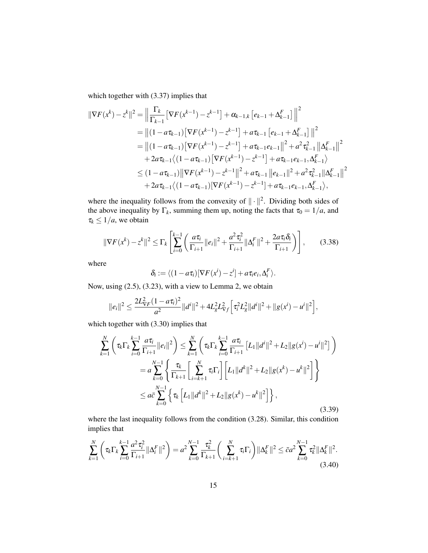which together with (3.37) implies that

$$
\|\nabla F(x^{k}) - z^{k}\|^{2} = \left\|\frac{\Gamma_{k}}{\Gamma_{k-1}}\left[\nabla F(x^{k-1}) - z^{k-1}\right] + \alpha_{k-1,k}\left[e_{k-1} + \Delta_{k-1}^{F}\right]\right\|^{2}
$$
  
\n
$$
= \left\|(1 - a\tau_{k-1})\left[\nabla F(x^{k-1}) - z^{k-1}\right] + a\tau_{k-1}\left[e_{k-1} + \Delta_{k-1}^{F}\right]\right\|^{2}
$$
  
\n
$$
= \left\|(1 - a\tau_{k-1})\left[\nabla F(x^{k-1}) - z^{k-1}\right] + a\tau_{k-1}e_{k-1}\right\|^{2} + a^{2}\tau_{k-1}^{2}\left\|\Delta_{k-1}^{F}\right\|^{2}
$$
  
\n
$$
+ 2a\tau_{k-1}\left\langle(1 - a\tau_{k-1})\left[\nabla F(x^{k-1}) - z^{k-1}\right] + a\tau_{k-1}e_{k-1}, \Delta_{k-1}^{F}\right\rangle
$$
  
\n
$$
\leq (1 - a\tau_{k-1})\left\|\nabla F(x^{k-1}) - z^{k-1}\right\|^{2} + a\tau_{k-1}\left\|e_{k-1}\right\|^{2} + a^{2}\tau_{k-1}^{2}\left\|\Delta_{k-1}^{F}\right\|^{2}
$$
  
\n
$$
+ 2a\tau_{k-1}\left\langle(1 - a\tau_{k-1})\left[\nabla F(x^{k-1}) - z^{k-1}\right] + a\tau_{k-1}e_{k-1}, \Delta_{k-1}^{F}\right\rangle,
$$

where the inequality follows from the convexity of  $\|\cdot\|^2$ . Dividing both sides of the above inequality by  $\Gamma_k$ , summing them up, noting the facts that  $\tau_0 = 1/a$ , and  $\tau_k \leq 1/a$ , we obtain

$$
\|\nabla F(x^k) - z^k\|^2 \le \Gamma_k \left[ \sum_{i=0}^{k-1} \left( \frac{a\tau_i}{\Gamma_{i+1}} \|e_i\|^2 + \frac{a^2\tau_i^2}{\Gamma_{i+1}} \|\Delta_i^F\|^2 + \frac{2a\tau_i \delta_i}{\Gamma_{i+1}} \right) \right],
$$
 (3.38)

where

$$
\delta_i := \langle (1 - a\tau_i)[\nabla F(x^i) - z^i] + a\tau_i e_i, \Delta_i^F \rangle.
$$

Now, using (2.5), (3.23), with a view to Lemma 2, we obtain

$$
||e_i||^2 \leq \frac{2L_{\nabla F}^2(1-a\tau_i)^2}{a^2}||d^i||^2 + 4L_g^2L_{\nabla f}^2\Big[\tau_i^2L_g^2||d^i||^2 + ||g(x^i) - u^i||^2\Big],
$$

which together with  $(3.30)$  implies that

$$
\sum_{k=1}^{N} \left( \tau_{k} \Gamma_{k} \sum_{i=0}^{k-1} \frac{a \tau_{i}}{\Gamma_{i+1}} ||e_{i}||^{2} \right) \leq \sum_{k=1}^{N} \left( \tau_{k} \Gamma_{k} \sum_{i=0}^{k-1} \frac{a \tau_{i}}{\Gamma_{i+1}} [L_{1} ||d^{i}||^{2} + L_{2} ||g(x^{i}) - u^{i}||^{2} ] \right)
$$
\n
$$
= a \sum_{k=0}^{N-1} \left\{ \frac{\tau_{k}}{\Gamma_{k+1}} \left[ \sum_{i=k+1}^{N} \tau_{i} \Gamma_{i} \right] \left[ L_{1} ||d^{k}||^{2} + L_{2} ||g(x^{k}) - u^{k}||^{2} \right] \right\}
$$
\n
$$
\leq a \bar{c} \sum_{k=0}^{N-1} \left\{ \tau_{k} \left[ L_{1} ||d^{k}||^{2} + L_{2} ||g(x^{k}) - u^{k}||^{2} \right] \right\},
$$
\n(3.39)

where the last inequality follows from the condition (3.28). Similar, this condition implies that

$$
\sum_{k=1}^{N} \left( \tau_k \Gamma_k \sum_{i=0}^{k-1} \frac{a^2 \tau_i^2}{\Gamma_{i+1}} ||\Delta_i^F||^2 \right) = a^2 \sum_{k=0}^{N-1} \frac{\tau_k^2}{\Gamma_{k+1}} \left( \sum_{i=k+1}^{N} \tau_i \Gamma_i \right) ||\Delta_k^F||^2 \leq \bar{c} a^2 \sum_{k=0}^{N-1} \tau_k^2 ||\Delta_k^F||^2.
$$
\n(3.40)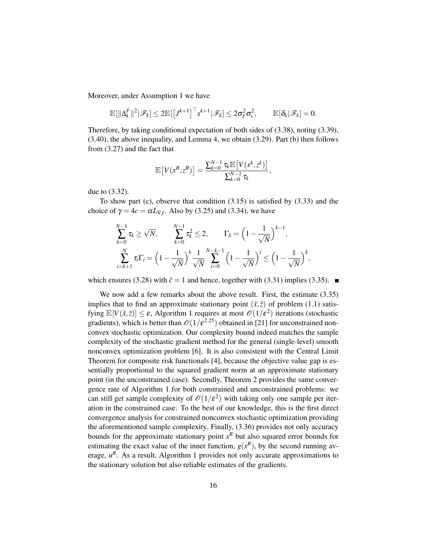Moreover, under Assumption 1 we have

$$
\mathbb{E}[\|\Delta_k^F\|^2|\mathscr{F}_k]\leq 2\mathbb{E}[\left[J^{k+1}\right]^\top s^{k+1}|\mathscr{F}_k]\leq 2\sigma_J^2\sigma_s^2,\qquad \mathbb{E}[\delta_k|\mathscr{F}_k]=0.
$$

Therefore, by taking conditional expectation of both sides of (3.38), noting (3.39), (3.40), the above inequality, and Lemma 4, we obtain (3.29). Part (b) then follows from (3.27) and the fact that

$$
\mathbb{E}\left[V(x^R,z^R)\right] = \frac{\sum_{k=0}^{N-1} \tau_k \mathbb{E}\left[V(x^k,z^k)\right]}{\sum_{k=0}^{N-1} \tau_k},
$$

due to (3.32).

To show part (c), observe that condition (3.15) is satisfied by (3.33) and the choice of  $\gamma = 4c = \alpha L_{\nabla f}$ . Also by (3.25) and (3.34), we have

$$
\sum_{k=0}^{N-1} \tau_k \ge \sqrt{N}, \qquad \sum_{k=0}^{N-1} \tau_k^2 \le 2, \qquad \Gamma_k = \left(1 - \frac{1}{\sqrt{N}}\right)^{k-1},
$$
\n
$$
\sum_{i=k+1}^{N} \tau_i \Gamma_i = \left(1 - \frac{1}{\sqrt{N}}\right)^k \frac{1}{\sqrt{N}} \sum_{i=0}^{N-k-1} \left(1 - \frac{1}{\sqrt{N}}\right)^i \le \left(1 - \frac{1}{\sqrt{N}}\right)^k,
$$

which ensures (3.28) with  $\bar{c} = 1$  and hence, together with (3.31) implies (3.35).

We now add a few remarks about the above result. First, the estimate  $(3.35)$ implies that to find an approximate stationary point  $(\bar{x}, \bar{z})$  of problem (1.1) satisfying  $\mathbb{E}[V(\bar{x},\bar{z})] \leq \varepsilon$ , Algorithm 1 requires at most  $\mathscr{O}(1/\varepsilon^2)$  iterations (stochastic gradients), which is better than  $\mathcal{O}(1/\varepsilon^{2.25})$  obtained in [21] for unconstrained nonconvex stochastic optimization. Our complexity bound indeed matches the sample complexity of the stochastic gradient method for the general (single-level) smooth nonconvex optimization problem [6]. It is also consistent with the Central Limit Theorem for composite risk functionals [4], because the objective value gap is essentially proportional to the squared gradient norm at an approximate stationary point (in the unconstrained case). Secondly, Theorem 2 provides the same convergence rate of Algorithm 1 for both constrained and unconstrained problems: we can still get sample complexity of  $\mathcal{O}(1/\varepsilon^2)$  with taking only one sample per iteration in the constrained case. To the best of our knowledge, this is the first direct convergence analysis for constrained nonconvex stochastic optimization providing the aforementioned sample complexity. Finally, (3.36) provides not only accuracy bounds for the approximate stationary point  $x^R$  but also squared error bounds for estimating the exact value of the inner function,  $g(x^R)$ , by the second running average,  $u^R$ . As a result, Algorithm 1 provides not only accurate approximations to the stationary solution but also reliable estimates of the gradients.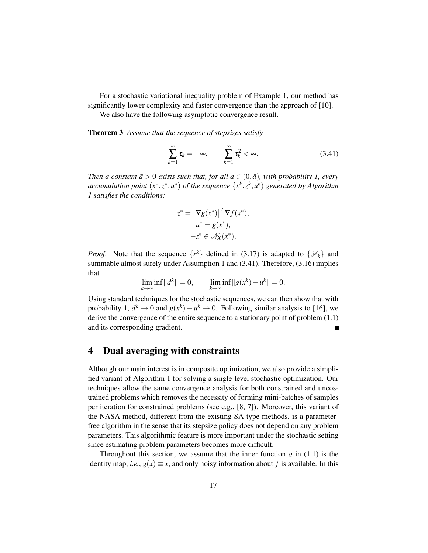For a stochastic variational inequality problem of Example 1, our method has significantly lower complexity and faster convergence than the approach of [10].

We also have the following asymptotic convergence result.

Theorem 3 *Assume that the sequence of stepsizes satisfy*

$$
\sum_{k=1}^{\infty} \tau_k = +\infty, \qquad \sum_{k=1}^{\infty} \tau_k^2 < \infty. \tag{3.41}
$$

*Then a constant*  $\bar{a} > 0$  *exists such that, for all*  $a \in (0, \bar{a})$ *, with probability 1, every accumulation point*  $(x^*, z^*, u^*)$  *of the sequence*  $\{x^k, z^k, u^k\}$  generated by Algorithm *1 satisfies the conditions:*

$$
z^* = \left[\nabla g(x^*)\right]^T \nabla f(x^*),
$$
  
\n
$$
u^* = g(x^*),
$$
  
\n
$$
-z^* \in \mathcal{N}_X(x^*).
$$

*Proof.* Note that the sequence  $\{r^k\}$  defined in (3.17) is adapted to  $\{\mathscr{F}_k\}$  and summable almost surely under Assumption 1 and (3.41). Therefore, (3.16) implies that

$$
\lim_{k \to \infty} \inf ||d^k|| = 0, \qquad \lim_{k \to \infty} \inf ||g(x^k) - u^k|| = 0.
$$

Using standard techniques for the stochastic sequences, we can then show that with probability 1,  $d^k \to 0$  and  $g(x^k) - u^k \to 0$ . Following similar analysis to [16], we derive the convergence of the entire sequence to a stationary point of problem (1.1) and its corresponding gradient.

## 4 Dual averaging with constraints

Although our main interest is in composite optimization, we also provide a simplified variant of Algorithm 1 for solving a single-level stochastic optimization. Our techniques allow the same convergence analysis for both constrained and uncostrained problems which removes the necessity of forming mini-batches of samples per iteration for constrained problems (see e.g., [8, 7]). Moreover, this variant of the NASA method, different from the existing SA-type methods, is a parameterfree algorithm in the sense that its stepsize policy does not depend on any problem parameters. This algorithmic feature is more important under the stochastic setting since estimating problem parameters becomes more difficult.

Throughout this section, we assume that the inner function  $g$  in  $(1.1)$  is the identity map, *i.e.*,  $g(x) \equiv x$ , and only noisy information about *f* is available. In this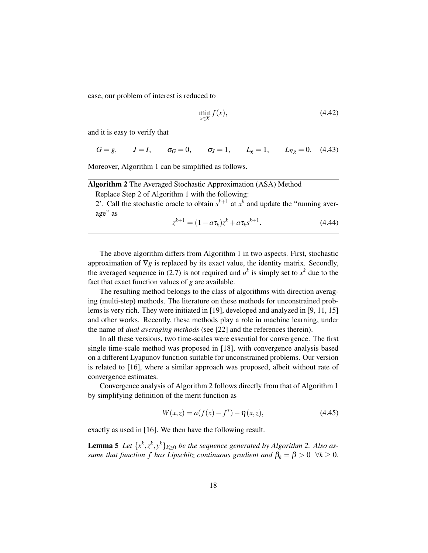case, our problem of interest is reduced to

$$
\min_{x \in X} f(x),\tag{4.42}
$$

and it is easy to verify that

$$
G = g,
$$
  $J = I,$   $\sigma_G = 0,$   $\sigma_J = 1,$   $L_g = 1,$   $L_{\nabla g} = 0.$  (4.43)

Moreover, Algorithm 1 can be simplified as follows.

| <b>Algorithm 2</b> The Averaged Stochastic Approximation (ASA) Method                     |        |
|-------------------------------------------------------------------------------------------|--------|
| Replace Step 2 of Algorithm 1 with the following:                                         |        |
| 2'. Call the stochastic oracle to obtain $s^{k+1}$ at $x^k$ and update the "running aver- |        |
| age" as                                                                                   |        |
| $z^{k+1} = (1 - a\tau_k)z^k + a\tau_k s^{k+1}.$                                           | (4.44) |

The above algorithm differs from Algorithm 1 in two aspects. First, stochastic approximation of ∇*g* is replaced by its exact value, the identity matrix. Secondly, the averaged sequence in (2.7) is not required and  $u^k$  is simply set to  $x^k$  due to the fact that exact function values of *g* are available.

The resulting method belongs to the class of algorithms with direction averaging (multi-step) methods. The literature on these methods for unconstrained problems is very rich. They were initiated in [19], developed and analyzed in [9, 11, 15] and other works. Recently, these methods play a role in machine learning, under the name of *dual averaging methods* (see [22] and the references therein).

In all these versions, two time-scales were essential for convergence. The first single time-scale method was proposed in [18], with convergence analysis based on a different Lyapunov function suitable for unconstrained problems. Our version is related to [16], where a similar approach was proposed, albeit without rate of convergence estimates.

Convergence analysis of Algorithm 2 follows directly from that of Algorithm 1 by simplifying definition of the merit function as

$$
W(x, z) = a(f(x) - f^*) - \eta(x, z),
$$
\n(4.45)

exactly as used in [16]. We then have the following result.

**Lemma 5** Let  $\{x^k, z^k, y^k\}_{k \geq 0}$  be the sequence generated by Algorithm 2. Also as*sume that function f has Lipschitz continuous gradient and*  $\beta_k = \beta > 0 \ \forall k \geq 0$ .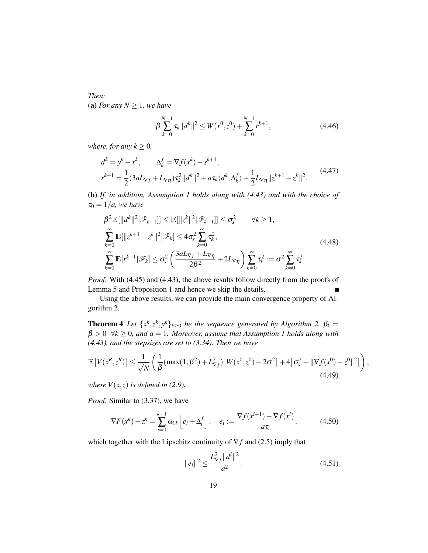*Then:* (a) *For any*  $N \geq 1$ *, we have* 

$$
\beta \sum_{k=0}^{N-1} \tau_k \|d^k\|^2 \le W(x^0, z^0) + \sum_{k=0}^{N-1} r^{k+1},
$$
\n(4.46)

*where, for any*  $k \geq 0$ *,* 

$$
d^{k} = y^{k} - x^{k}, \qquad \Delta_{k}^{f} = \nabla f(x^{k}) - s^{k+1},
$$
  

$$
r^{k+1} = \frac{1}{2} (3aL_{\nabla f} + L_{\nabla \eta}) \tau_{k}^{2} ||d^{k}||^{2} + a\tau_{k} \langle d^{k}, \Delta_{k}^{f} \rangle + \frac{1}{2} L_{\nabla \eta} ||z^{k+1} - z^{k}||^{2}.
$$
 (4.47)

(b) *If, in addition, Assumption 1 holds along with (4.43) and with the choice of*  $\tau_0 = 1/a$ , we have

$$
\beta^2 \mathbb{E}[\|d^k\|^2|\mathcal{F}_{k-1}]\leq \mathbb{E}[\|z^k\|^2|\mathcal{F}_{k-1}]\leq \sigma_s^2 \qquad \forall k \geq 1,
$$
  

$$
\sum_{k=0}^{\infty} \mathbb{E}[\|z^{k+1} - z^k\|^2|\mathcal{F}_k] \leq 4\sigma_s^2 \sum_{k=0}^{\infty} \tau_k^2,
$$
  

$$
\sum_{k=0}^{\infty} \mathbb{E}[r^{k+1}|\mathcal{F}_k] \leq \sigma_s^2 \left(\frac{3aL_{\nabla f} + L_{\nabla \eta}}{2\beta^2} + 2L_{\nabla \eta}\right) \sum_{k=0}^{\infty} \tau_k^2 := \sigma^2 \sum_{k=0}^{\infty} \tau_k^2.
$$
\n(4.48)

*Proof*. With (4.45) and (4.43), the above results follow directly from the proofs of Lemma 5 and Proposition 1 and hence we skip the details.

Using the above results, we can provide the main convergence property of Algorithm 2.

**Theorem 4** Let  $\{x^k, z^k, y^k\}_{k\geq 0}$  be the sequence generated by Algorithm 2,  $\beta_k =$  $\beta > 0 \ \forall k \geq 0$ , and  $a = 1$ . Moreover, assume that Assumption 1 holds along with *(4.43), and the stepsizes are set to (3.34). Then we have*

$$
\mathbb{E}\left[V(x^R, z^R)\right] \le \frac{1}{\sqrt{N}} \left(\frac{1}{\beta} (\max(1, \beta^2) + L_{\nabla f}^2) \left[W(x^0, z^0) + 2\sigma^2\right] + 4\left[\sigma_s^2 + \|\nabla f(x^0) - z^0\|^2\right]\right),\tag{4.49}
$$

*where*  $V(x, z)$  *is defined in (2.9).* 

*Proof*. Similar to (3.37), we have

$$
\nabla F(x^k) - z^k = \sum_{i=0}^{k-1} \alpha_{i,k} \left[ e_i + \Delta_i^f \right], \quad e_i := \frac{\nabla f(x^{i+1}) - \nabla f(x^i)}{a \tau_i}, \tag{4.50}
$$

which together with the Lipschitz continuity of  $\nabla f$  and (2.5) imply that

$$
||e_i||^2 \le \frac{L_{\nabla f}^2 ||d^i||^2}{a^2}.
$$
\n(4.51)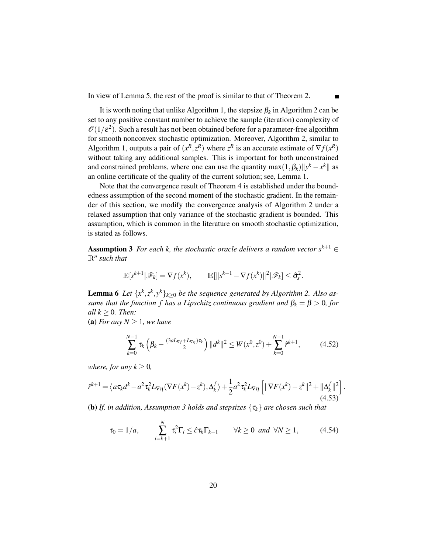In view of Lemma 5, the rest of the proof is similar to that of Theorem 2.

It is worth noting that unlike Algorithm 1, the stepsize  $\beta_k$  in Algorithm 2 can be set to any positive constant number to achieve the sample (iteration) complexity of  $\mathscr{O}(1/\varepsilon^2)$ . Such a result has not been obtained before for a parameter-free algorithm for smooth nonconvex stochastic optimization. Moreover, Algorithm 2, similar to Algorithm 1, outputs a pair of  $(x^R, z^R)$  where  $z^R$  is an accurate estimate of  $\nabla f(x^R)$ without taking any additional samples. This is important for both unconstrained and constrained problems, where one can use the quantity  $\max(1, \beta_k) ||y^k - x^k||$  as an online certificate of the quality of the current solution; see, Lemma 1.

Note that the convergence result of Theorem 4 is established under the boundedness assumption of the second moment of the stochastic gradient. In the remainder of this section, we modify the convergence analysis of Algorithm 2 under a relaxed assumption that only variance of the stochastic gradient is bounded. This assumption, which is common in the literature on smooth stochastic optimization, is stated as follows.

Assumption 3 *For each k, the stochastic oracle delivers a random vector*  $s^{k+1}$  ∈ R*n such that*

$$
\mathbb{E}[s^{k+1}|\mathscr{F}_k] = \nabla f(x^k), \qquad \mathbb{E}[\|s^{k+1} - \nabla f(x^k)\|^2|\mathscr{F}_k] \leq \hat{\sigma}_s^2.
$$

**Lemma 6** Let  $\{x^k, z^k, y^k\}_{k \geq 0}$  be the sequence generated by Algorithm 2. Also as*sume that the function f has a Lipschitz continuous gradient and*  $\beta_k = \beta > 0$ , for *all*  $k \geq 0$ *. Then:* 

(a) *For any*  $N \geq 1$ *, we have* 

$$
\sum_{k=0}^{N-1} \tau_k \left( \beta_k - \frac{(3aL_{\nabla f} + L_{\nabla \eta})\tau_k}{2} \right) ||d^k||^2 \le W(x^0, z^0) + \sum_{k=0}^{N-1} \hat{r}^{k+1}, \tag{4.52}
$$

*where, for any*  $k \geq 0$ *,* 

$$
\hat{r}^{k+1} = \left\langle a\tau_k d^k - a^2\tau_k^2 L_{\nabla\eta} (\nabla F(x^k) - z^k), \Delta_k^f \right\rangle + \frac{1}{2} a^2\tau_k^2 L_{\nabla\eta} \left[ \|\nabla F(x^k) - z^k\|^2 + \|\Delta_k^f\|^2 \right]. \tag{4.53}
$$

(b) *If, in addition, Assumption 3 holds and stepsizes* {τ*k*} *are chosen such that*

$$
\tau_0 = 1/a, \qquad \sum_{i=k+1}^N \tau_i^2 \Gamma_i \leq \hat{c} \tau_k \Gamma_{k+1} \qquad \forall k \geq 0 \text{ and } \forall N \geq 1, \tag{4.54}
$$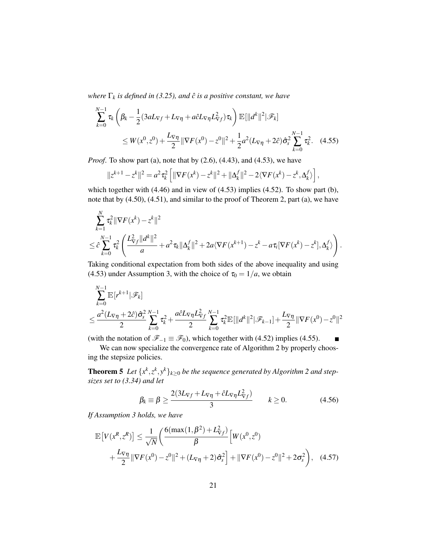*where*  $\Gamma_k$  *is defined in (3.25), and*  $\hat{c}$  *is a positive constant, we have* 

$$
\sum_{k=0}^{N-1} \tau_k \left( \beta_k - \frac{1}{2} (3aL_{\nabla f} + L_{\nabla \eta} + a\hat{c}L_{\nabla \eta} L_{\nabla f}^2) \tau_k \right) \mathbb{E}[\|d^k\|^2 | \mathcal{F}_k]
$$
\n
$$
\leq W(x^0, z^0) + \frac{L_{\nabla \eta}}{2} \|\nabla F(x^0) - z^0\|^2 + \frac{1}{2} a^2 (L_{\nabla \eta} + 2\hat{c}) \hat{\sigma}_s^2 \sum_{k=0}^{N-1} \tau_k^2. \quad (4.55)
$$

*Proof*. To show part (a), note that by (2.6), (4.43), and (4.53), we have

$$
||z^{k+1} - z^k||^2 = a^2 \tau_k^2 \left[ ||\nabla F(x^k) - z^k||^2 + ||\Delta_k^f||^2 - 2\langle \nabla F(x^k) - z^k, \Delta_k^f \rangle \right],
$$

which together with (4.46) and in view of (4.53) implies (4.52). To show part (b), note that by (4.50), (4.51), and similar to the proof of Theorem 2, part (a), we have

$$
\sum_{k=1}^{N} \tau_k^2 \|\nabla F(x^k) - z^k\|^2
$$
\n
$$
\leq \hat{c} \sum_{k=0}^{N-1} \tau_k^2 \left( \frac{L_{\nabla f}^2 \|d^k\|^2}{a} + a^2 \tau_k \|\Delta_k^f\|^2 + 2a \langle \nabla F(x^{k+1}) - z^k - a \tau_i [\nabla F(x^k) - z^k], \Delta_k^f \rangle \right).
$$

Taking conditional expectation from both sides of the above inequality and using (4.53) under Assumption 3, with the choice of  $\tau_0 = 1/a$ , we obtain

$$
\sum_{k=0}^{N-1} \mathbb{E}[r^{k+1}|\mathscr{F}_k]
$$
\n
$$
\leq \frac{a^2(L_{\nabla \eta} + 2\hat{c})\hat{\sigma}_s^2}{2} \sum_{k=0}^{N-1} \tau_k^2 + \frac{a\hat{c}L_{\nabla \eta}L_{\nabla f}^2}{2} \sum_{k=0}^{N-1} \tau_k^2 \mathbb{E}[\|d^k\|^2|\mathscr{F}_{k-1}] + \frac{L_{\nabla \eta}}{2} \|\nabla F(x^0) - z^0\|^2
$$

(with the notation of  $\mathscr{F}_{-1} \equiv \mathscr{F}_0$ ), which together with (4.52) implies (4.55).

We can now specialize the convergence rate of Algorithm 2 by properly choosing the stepsize policies.

**Theorem 5** Let  $\{x^k, z^k, y^k\}_{k\geq 0}$  be the sequence generated by Algorithm 2 and step*sizes set to (3.34) and let*

$$
\beta_k \equiv \beta \ge \frac{2(3L_{\nabla f} + L_{\nabla \eta} + \hat{c}L_{\nabla \eta}L_{\nabla f}^2)}{3} \qquad k \ge 0. \tag{4.56}
$$

 $\blacksquare$ 

*If Assumption 3 holds, we have*

$$
\mathbb{E}\left[V(x^R, z^R)\right] \le \frac{1}{\sqrt{N}} \left(\frac{6(\max(1, \beta^2) + L_{\nabla f}^2)}{\beta} \left[W(x^0, z^0) + \frac{L_{\nabla \eta}}{2} \|\nabla F(x^0) - z^0\|^2 + (L_{\nabla \eta} + 2)\hat{\sigma}_s^2\right] + \|\nabla F(x^0) - z^0\|^2 + 2\sigma_s^2\right), \quad (4.57)
$$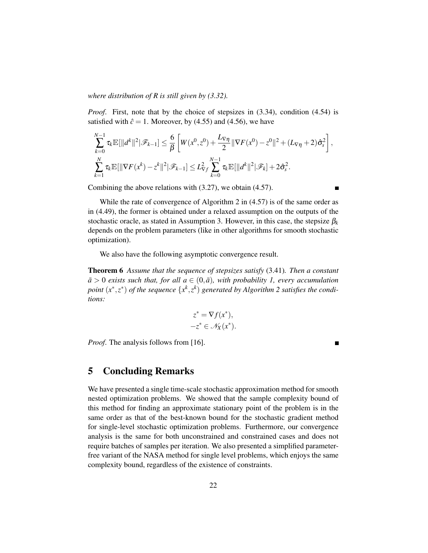#### *where distribution of R is still given by (3.32).*

*Proof.* First, note that by the choice of stepsizes in  $(3.34)$ , condition  $(4.54)$  is satisfied with  $\hat{c} = 1$ . Moreover, by (4.55) and (4.56), we have

$$
\sum_{k=0}^{N-1} \tau_k \mathbb{E}[\|d^k\|^2 | \mathcal{F}_{k-1}] \leq \frac{6}{\beta} \left[ W(x^0, z^0) + \frac{L_{\nabla \eta}}{2} \|\nabla F(x^0) - z^0\|^2 + (L_{\nabla \eta} + 2) \hat{\sigma}_s^2 \right],
$$
  

$$
\sum_{k=1}^{N} \tau_k \mathbb{E}[\|\nabla F(x^k) - z^k\|^2 | \mathcal{F}_{k-1}] \leq L_{\nabla f}^2 \sum_{k=0}^{N-1} \tau_k \mathbb{E}[\|d^k\|^2 | \mathcal{F}_k] + 2 \hat{\sigma}_s^2.
$$

Combining the above relations with (3.27), we obtain (4.57).

While the rate of convergence of Algorithm 2 in (4.57) is of the same order as in (4.49), the former is obtained under a relaxed assumption on the outputs of the stochastic oracle, as stated in Assumption 3. However, in this case, the stepsize  $\beta_k$ depends on the problem parameters (like in other algorithms for smooth stochastic optimization).

We also have the following asymptotic convergence result.

Theorem 6 *Assume that the sequence of stepsizes satisfy* (3.41)*. Then a constant*  $\bar{a}$  > 0 *exists such that, for all a*  $\in$   $(0,\bar{a})$ *, with probability 1, every accumulation point*  $(x^*, z^*)$  *of the sequence*  $\{x^k, z^k\}$  generated by Algorithm 2 satisfies the condi*tions:*

$$
z^* = \nabla f(x^*),
$$
  

$$
-z^* \in \mathscr{N}_X(x^*).
$$

*Proof.* The analysis follows from [16].

### 5 Concluding Remarks

We have presented a single time-scale stochastic approximation method for smooth nested optimization problems. We showed that the sample complexity bound of this method for finding an approximate stationary point of the problem is in the same order as that of the best-known bound for the stochastic gradient method for single-level stochastic optimization problems. Furthermore, our convergence analysis is the same for both unconstrained and constrained cases and does not require batches of samples per iteration. We also presented a simplified parameterfree variant of the NASA method for single level problems, which enjoys the same complexity bound, regardless of the existence of constraints.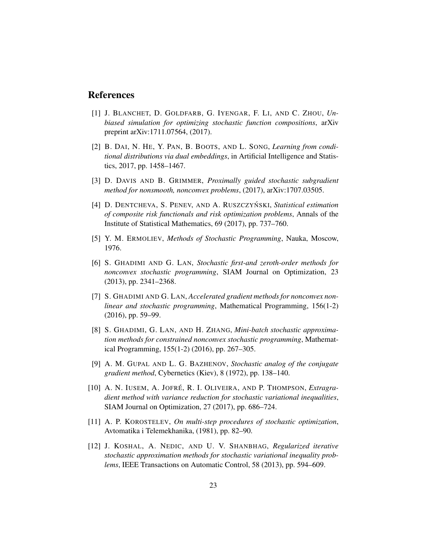## References

- [1] J. BLANCHET, D. GOLDFARB, G. IYENGAR, F. LI, AND C. ZHOU, *Unbiased simulation for optimizing stochastic function compositions*, arXiv preprint arXiv:1711.07564, (2017).
- [2] B. DAI, N. HE, Y. PAN, B. BOOTS, AND L. SONG, *Learning from conditional distributions via dual embeddings*, in Artificial Intelligence and Statistics, 2017, pp. 1458–1467.
- [3] D. DAVIS AND B. GRIMMER, *Proximally guided stochastic subgradient method for nonsmooth, nonconvex problems*, (2017), arXiv:1707.03505.
- [4] D. DENTCHEVA, S. PENEV, AND A. RUSZCZYŃSKI, *Statistical estimation of composite risk functionals and risk optimization problems*, Annals of the Institute of Statistical Mathematics, 69 (2017), pp. 737–760.
- [5] Y. M. ERMOLIEV, *Methods of Stochastic Programming*, Nauka, Moscow, 1976.
- [6] S. GHADIMI AND G. LAN, *Stochastic first-and zeroth-order methods for nonconvex stochastic programming*, SIAM Journal on Optimization, 23 (2013), pp. 2341–2368.
- [7] S. GHADIMI AND G. LAN, *Accelerated gradient methods for nonconvex nonlinear and stochastic programming*, Mathematical Programming, 156(1-2) (2016), pp. 59–99.
- [8] S. GHADIMI, G. LAN, AND H. ZHANG, *Mini-batch stochastic approximation methods for constrained nonconvex stochastic programming*, Mathematical Programming, 155(1-2) (2016), pp. 267–305.
- [9] A. M. GUPAL AND L. G. BAZHENOV, *Stochastic analog of the conjugate gradient method*, Cybernetics (Kiev), 8 (1972), pp. 138–140.
- [10] A. N. IUSEM, A. JOFRÉ, R. I. OLIVEIRA, AND P. THOMPSON, *Extragradient method with variance reduction for stochastic variational inequalities*, SIAM Journal on Optimization, 27 (2017), pp. 686–724.
- [11] A. P. KOROSTELEV, *On multi-step procedures of stochastic optimization*, Avtomatika i Telemekhanika, (1981), pp. 82–90.
- [12] J. KOSHAL, A. NEDIC, AND U. V. SHANBHAG, *Regularized iterative stochastic approximation methods for stochastic variational inequality problems*, IEEE Transactions on Automatic Control, 58 (2013), pp. 594–609.